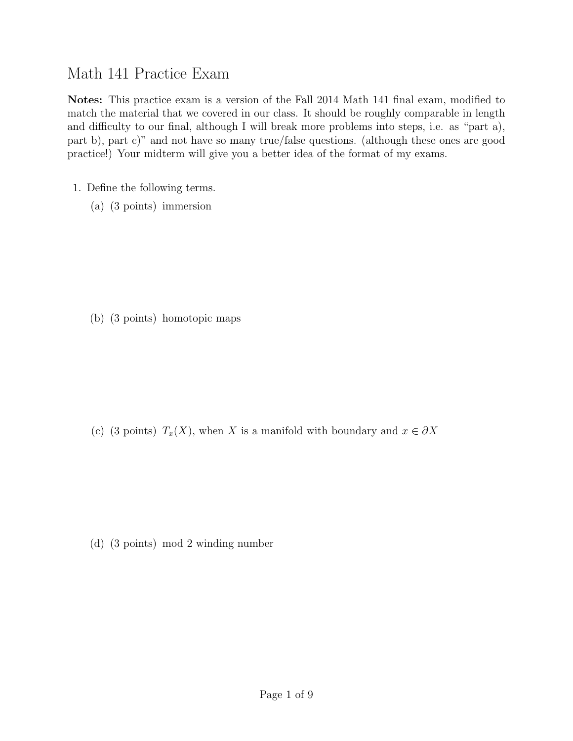## Math 141 Practice Exam

Notes: This practice exam is a version of the Fall 2014 Math 141 final exam, modified to match the material that we covered in our class. It should be roughly comparable in length and difficulty to our final, although I will break more problems into steps, i.e. as "part a), part b), part c)" and not have so many true/false questions. (although these ones are good practice!) Your midterm will give you a better idea of the format of my exams.

- 1. Define the following terms.
	- (a) (3 points) immersion

(b) (3 points) homotopic maps

(c) (3 points)  $T_x(X)$ , when X is a manifold with boundary and  $x \in \partial X$ 

(d) (3 points) mod 2 winding number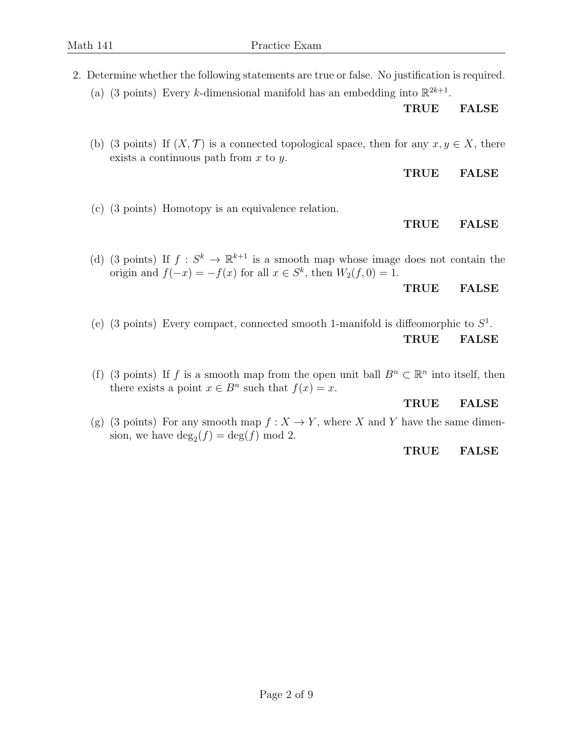- 2. Determine whether the following statements are true or false. No justification is required.
	- (a) (3 points) Every k-dimensional manifold has an embedding into  $\mathbb{R}^{2k+1}$ .

TRUE FALSE

(b) (3 points) If  $(X, \mathcal{T})$  is a connected topological space, then for any  $x, y \in X$ , there exists a continuous path from  $x$  to  $y$ .

TRUE FALSE

(c) (3 points) Homotopy is an equivalence relation.

## TRUE FALSE

(d) (3 points) If  $f: S^k \to \mathbb{R}^{k+1}$  is a smooth map whose image does not contain the origin and  $f(-x) = -f(x)$  for all  $x \in S^k$ , then  $W_2(f, 0) = 1$ .

TRUE FALSE

- (e) (3 points) Every compact, connected smooth 1-manifold is diffeomorphic to  $S^1$ . TRUE FALSE
- (f) (3 points) If f is a smooth map from the open unit ball  $B<sup>n</sup> \subset \mathbb{R}<sup>n</sup>$  into itself, then there exists a point  $x \in B^n$  such that  $f(x) = x$ .

## TRUE FALSE

(g) (3 points) For any smooth map  $f: X \to Y$ , where X and Y have the same dimension, we have  $\deg_2(f) = \deg(f) \mod 2$ .

## TRUE FALSE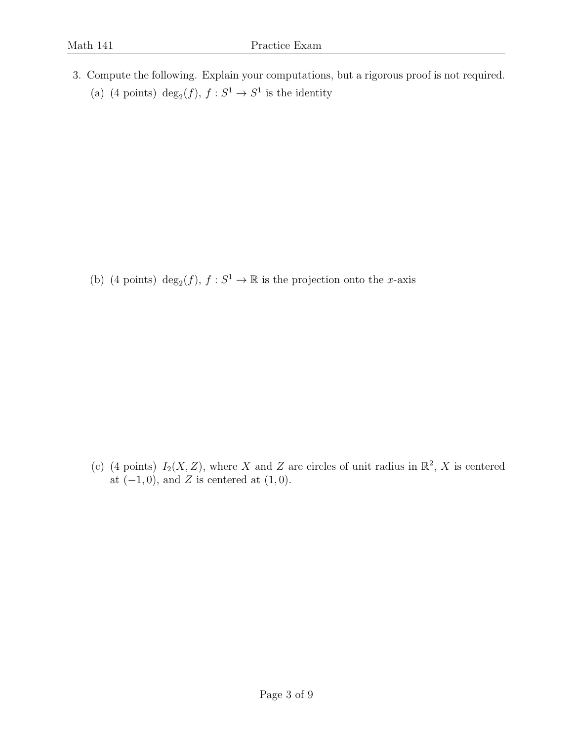3. Compute the following. Explain your computations, but a rigorous proof is not required. (a) (4 points) deg<sub>2</sub>(*f*),  $f : S^1 \to S^1$  is the identity

(b) (4 points)  $deg_2(f)$ ,  $f : S^1 \to \mathbb{R}$  is the projection onto the *x*-axis

(c) (4 points)  $I_2(X, Z)$ , where X and Z are circles of unit radius in  $\mathbb{R}^2$ , X is centered at  $(-1, 0)$ , and Z is centered at  $(1, 0)$ .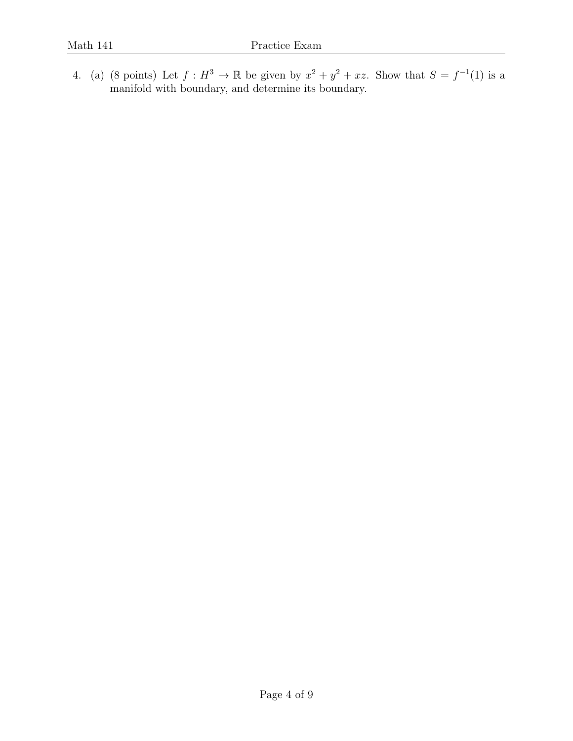4. (a) (8 points) Let  $f: H^3 \to \mathbb{R}$  be given by  $x^2 + y^2 + xz$ . Show that  $S = f^{-1}(1)$  is a manifold with boundary, and determine its boundary.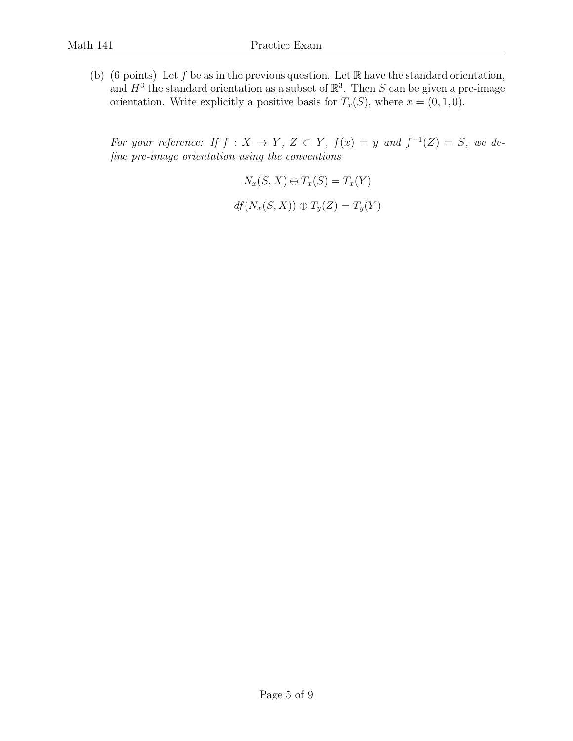(b) (6 points) Let f be as in the previous question. Let  $\mathbb R$  have the standard orientation, and  $H^3$  the standard orientation as a subset of  $\mathbb{R}^3$ . Then S can be given a pre-image orientation. Write explicitly a positive basis for  $T_x(S)$ , where  $x = (0, 1, 0)$ .

For your reference: If  $f: X \to Y$ ,  $Z \subset Y$ ,  $f(x) = y$  and  $f^{-1}(Z) = S$ , we define pre-image orientation using the conventions

$$
N_x(S, X) \oplus T_x(S) = T_x(Y)
$$
  

$$
df(N_x(S, X)) \oplus T_y(Z) = T_y(Y)
$$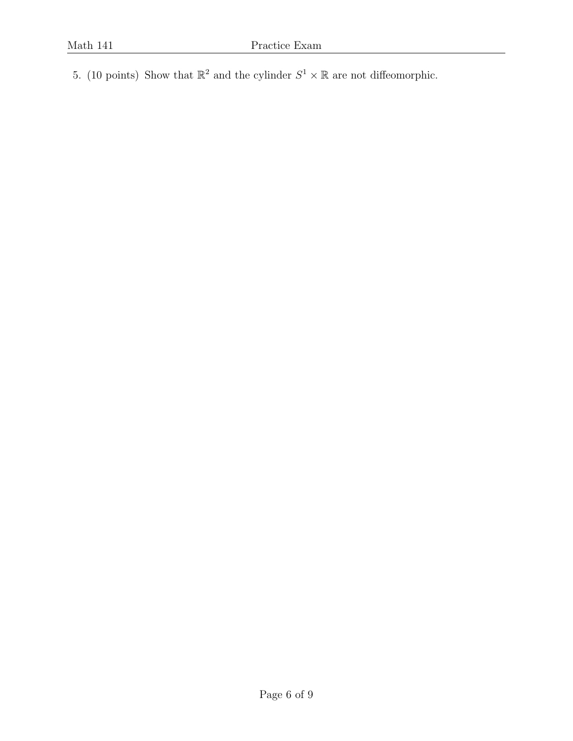5. (10 points) Show that  $\mathbb{R}^2$  and the cylinder  $S^1 \times \mathbb{R}$  are not diffeomorphic.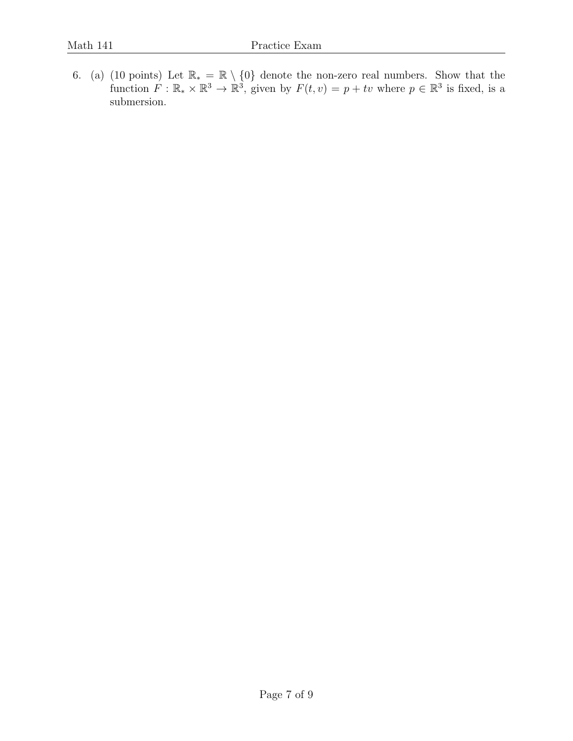6. (a) (10 points) Let  $\mathbb{R}_* = \mathbb{R} \setminus \{0\}$  denote the non-zero real numbers. Show that the function  $F: \mathbb{R}_* \times \mathbb{R}^3 \to \mathbb{R}^3$ , given by  $F(t, v) = p + tv$  where  $p \in \mathbb{R}^3$  is fixed, is a submersion.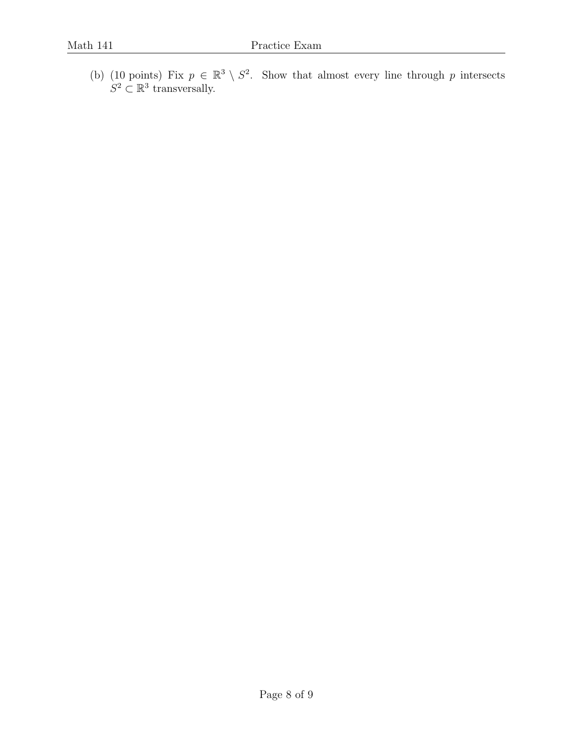(b) (10 points) Fix  $p \in \mathbb{R}^3 \setminus S^2$ . Show that almost every line through p intersects  $S^2 \subset \mathbb{R}^3$  transversally.